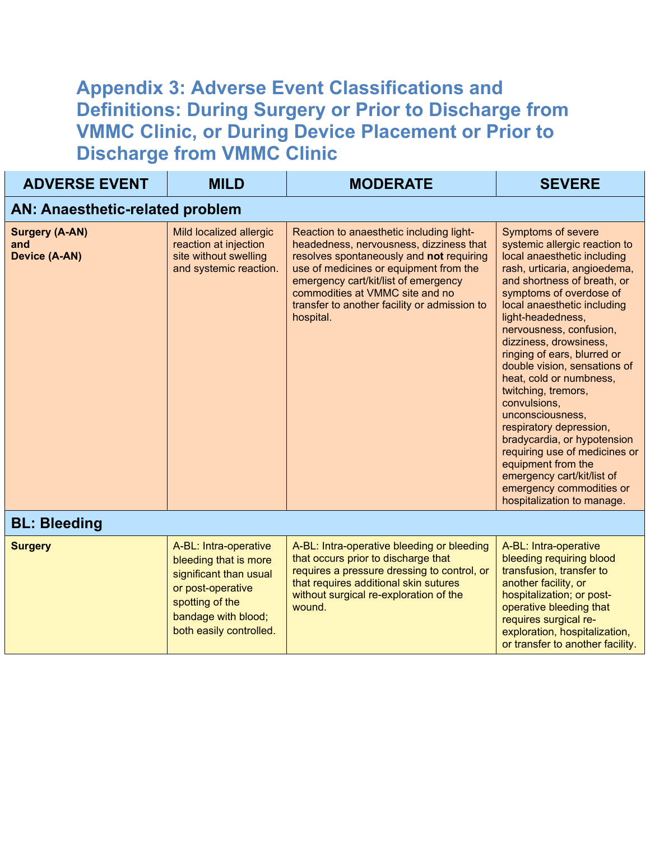## **Appendix 3: Adverse Event Classifications and Definitions: During Surgery or Prior to Discharge from VMMC Clinic, or During Device Placement or Prior to Discharge from VMMC Clinic**

| <b>ADVERSE EVENT</b>                                 | <b>MILD</b>                                                                                                                                                        | <b>MODERATE</b>                                                                                                                                                                                                                                                                                                   | <b>SEVERE</b>                                                                                                                                                                                                                                                                                                                                                                                                                                                                                                                                                                                                                                              |  |  |
|------------------------------------------------------|--------------------------------------------------------------------------------------------------------------------------------------------------------------------|-------------------------------------------------------------------------------------------------------------------------------------------------------------------------------------------------------------------------------------------------------------------------------------------------------------------|------------------------------------------------------------------------------------------------------------------------------------------------------------------------------------------------------------------------------------------------------------------------------------------------------------------------------------------------------------------------------------------------------------------------------------------------------------------------------------------------------------------------------------------------------------------------------------------------------------------------------------------------------------|--|--|
| <b>AN: Anaesthetic-related problem</b>               |                                                                                                                                                                    |                                                                                                                                                                                                                                                                                                                   |                                                                                                                                                                                                                                                                                                                                                                                                                                                                                                                                                                                                                                                            |  |  |
| <b>Surgery (A-AN)</b><br>and<br><b>Device (A-AN)</b> | Mild localized allergic<br>reaction at injection<br>site without swelling<br>and systemic reaction.                                                                | Reaction to anaesthetic including light-<br>headedness, nervousness, dizziness that<br>resolves spontaneously and not requiring<br>use of medicines or equipment from the<br>emergency cart/kit/list of emergency<br>commodities at VMMC site and no<br>transfer to another facility or admission to<br>hospital. | <b>Symptoms of severe</b><br>systemic allergic reaction to<br>local anaesthetic including<br>rash, urticaria, angioedema,<br>and shortness of breath, or<br>symptoms of overdose of<br>local anaesthetic including<br>light-headedness,<br>nervousness, confusion,<br>dizziness, drowsiness,<br>ringing of ears, blurred or<br>double vision, sensations of<br>heat, cold or numbness,<br>twitching, tremors,<br>convulsions,<br>unconsciousness,<br>respiratory depression,<br>bradycardia, or hypotension<br>requiring use of medicines or<br>equipment from the<br>emergency cart/kit/list of<br>emergency commodities or<br>hospitalization to manage. |  |  |
| <b>BL: Bleeding</b>                                  |                                                                                                                                                                    |                                                                                                                                                                                                                                                                                                                   |                                                                                                                                                                                                                                                                                                                                                                                                                                                                                                                                                                                                                                                            |  |  |
| <b>Surgery</b>                                       | A-BL: Intra-operative<br>bleeding that is more<br>significant than usual<br>or post-operative<br>spotting of the<br>bandage with blood;<br>both easily controlled. | A-BL: Intra-operative bleeding or bleeding<br>that occurs prior to discharge that<br>requires a pressure dressing to control, or<br>that requires additional skin sutures<br>without surgical re-exploration of the<br>wound.                                                                                     | A-BL: Intra-operative<br>bleeding requiring blood<br>transfusion, transfer to<br>another facility, or<br>hospitalization; or post-<br>operative bleeding that<br>requires surgical re-<br>exploration, hospitalization,<br>or transfer to another facility.                                                                                                                                                                                                                                                                                                                                                                                                |  |  |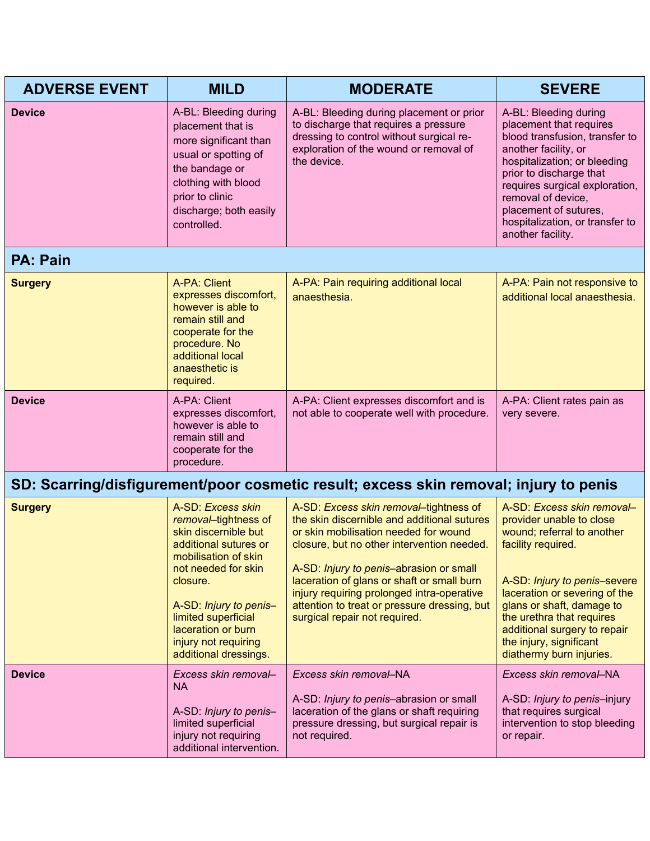| <b>ADVERSE EVENT</b> | <b>MILD</b>                                                                                                                                                                                                                                                                   | <b>MODERATE</b>                                                                                                                                                                                                                                                                                                                                                                                      | <b>SEVERE</b>                                                                                                                                                                                                                                                                                                                |  |  |
|----------------------|-------------------------------------------------------------------------------------------------------------------------------------------------------------------------------------------------------------------------------------------------------------------------------|------------------------------------------------------------------------------------------------------------------------------------------------------------------------------------------------------------------------------------------------------------------------------------------------------------------------------------------------------------------------------------------------------|------------------------------------------------------------------------------------------------------------------------------------------------------------------------------------------------------------------------------------------------------------------------------------------------------------------------------|--|--|
| <b>Device</b>        | A-BL: Bleeding during<br>placement that is<br>more significant than<br>usual or spotting of<br>the bandage or<br>clothing with blood<br>prior to clinic<br>discharge; both easily<br>controlled.                                                                              | A-BL: Bleeding during placement or prior<br>to discharge that requires a pressure<br>dressing to control without surgical re-<br>exploration of the wound or removal of<br>the device.                                                                                                                                                                                                               | A-BL: Bleeding during<br>placement that requires<br>blood transfusion, transfer to<br>another facility, or<br>hospitalization; or bleeding<br>prior to discharge that<br>requires surgical exploration,<br>removal of device,<br>placement of sutures,<br>hospitalization, or transfer to<br>another facility.               |  |  |
| <b>PA: Pain</b>      |                                                                                                                                                                                                                                                                               |                                                                                                                                                                                                                                                                                                                                                                                                      |                                                                                                                                                                                                                                                                                                                              |  |  |
| <b>Surgery</b>       | <b>A-PA: Client</b><br>expresses discomfort,<br>however is able to<br>remain still and<br>cooperate for the<br>procedure. No<br>additional local<br>anaesthetic is<br>required.                                                                                               | A-PA: Pain requiring additional local<br>anaesthesia.                                                                                                                                                                                                                                                                                                                                                | A-PA: Pain not responsive to<br>additional local anaesthesia.                                                                                                                                                                                                                                                                |  |  |
| <b>Device</b>        | A-PA: Client<br>expresses discomfort,<br>however is able to<br>remain still and<br>cooperate for the<br>procedure.                                                                                                                                                            | A-PA: Client expresses discomfort and is<br>not able to cooperate well with procedure.                                                                                                                                                                                                                                                                                                               | A-PA: Client rates pain as<br>very severe.                                                                                                                                                                                                                                                                                   |  |  |
|                      | SD: Scarring/disfigurement/poor cosmetic result; excess skin removal; injury to penis                                                                                                                                                                                         |                                                                                                                                                                                                                                                                                                                                                                                                      |                                                                                                                                                                                                                                                                                                                              |  |  |
| <b>Surgery</b>       | A-SD: Excess skin<br>removal-tightness of<br>skin discernible but<br>additional sutures or<br>mobilisation of skin<br>not needed for skin<br>closure.<br>A-SD: Injury to penis-<br>limited superficial<br>laceration or burn<br>injury not requiring<br>additional dressings. | A-SD: Excess skin removal-tightness of<br>the skin discernible and additional sutures<br>or skin mobilisation needed for wound<br>closure, but no other intervention needed.<br>A-SD: Injury to penis-abrasion or small<br>laceration of glans or shaft or small burn<br>injury requiring prolonged intra-operative<br>attention to treat or pressure dressing, but<br>surgical repair not required. | A-SD: Excess skin removal-<br>provider unable to close<br>wound; referral to another<br>facility required.<br>A-SD: Injury to penis-severe<br>laceration or severing of the<br>glans or shaft, damage to<br>the urethra that requires<br>additional surgery to repair<br>the injury, significant<br>diathermy burn injuries. |  |  |
| <b>Device</b>        | Excess skin removal-                                                                                                                                                                                                                                                          | Excess skin removal-NA                                                                                                                                                                                                                                                                                                                                                                               | Excess skin removal-NA                                                                                                                                                                                                                                                                                                       |  |  |
|                      | <b>NA</b><br>A-SD: Injury to penis-<br>limited superficial<br>injury not requiring<br>additional intervention.                                                                                                                                                                | A-SD: <i>Injury to penis</i> -abrasion or small<br>laceration of the glans or shaft requiring<br>pressure dressing, but surgical repair is<br>not required.                                                                                                                                                                                                                                          | A-SD: <i>Injury to penis</i> -injury<br>that requires surgical<br>intervention to stop bleeding<br>or repair.                                                                                                                                                                                                                |  |  |